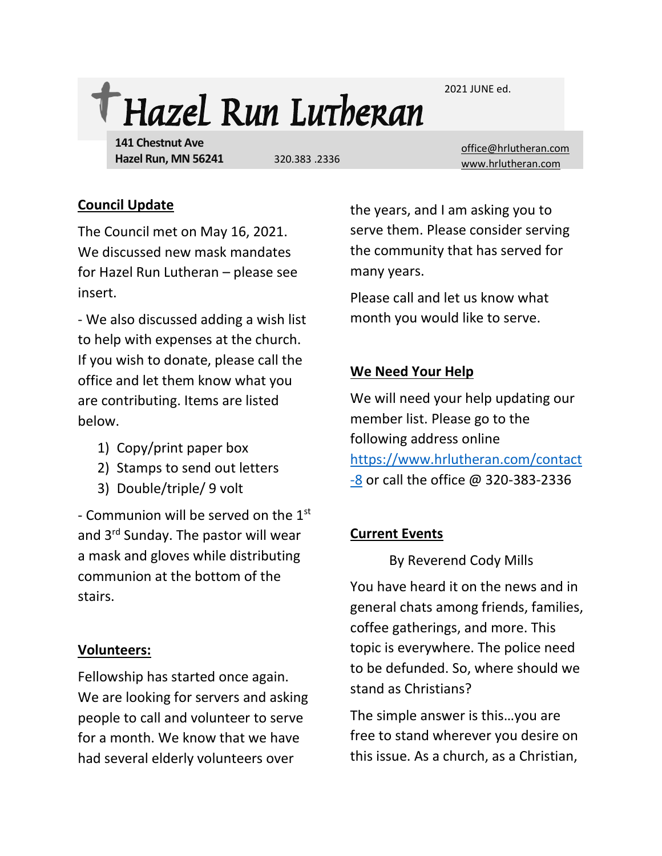2021 JUNE ed.



**141 Chestnut Ave Hazel Run, MN 56241**

[office@hrlutheran.com](mailto:office@hrlutheran.com) 320.383 .2336 [www.hrlutheran.com](http://www.hrlutheran.com/)

# **Council Update**

The Council met on May 16, 2021. We discussed new mask mandates for Hazel Run Lutheran – please see insert.

- We also discussed adding a wish list to help with expenses at the church. If you wish to donate, please call the office and let them know what you are contributing. Items are listed below.

- 1) Copy/print paper box
- 2) Stamps to send out letters
- 3) Double/triple/ 9 volt

- Communion will be served on the 1<sup>st</sup> and 3rd Sunday. The pastor will wear a mask and gloves while distributing communion at the bottom of the stairs.

## **Volunteers:**

Fellowship has started once again. We are looking for servers and asking people to call and volunteer to serve for a month. We know that we have had several elderly volunteers over

the years, and I am asking you to serve them. Please consider serving the community that has served for many years.

Please call and let us know what month you would like to serve.

# **We Need Your Help**

We will need your help updating our member list. Please go to the following address online [https://www.hrlutheran.com/contact](https://www.hrlutheran.com/contact-8) [-8](https://www.hrlutheran.com/contact-8) or call the office @ 320-383-2336

## **Current Events**

By Reverend Cody Mills

You have heard it on the news and in general chats among friends, families, coffee gatherings, and more. This topic is everywhere. The police need to be defunded. So, where should we stand as Christians?

The simple answer is this…you are free to stand wherever you desire on this issue. As a church, as a Christian,